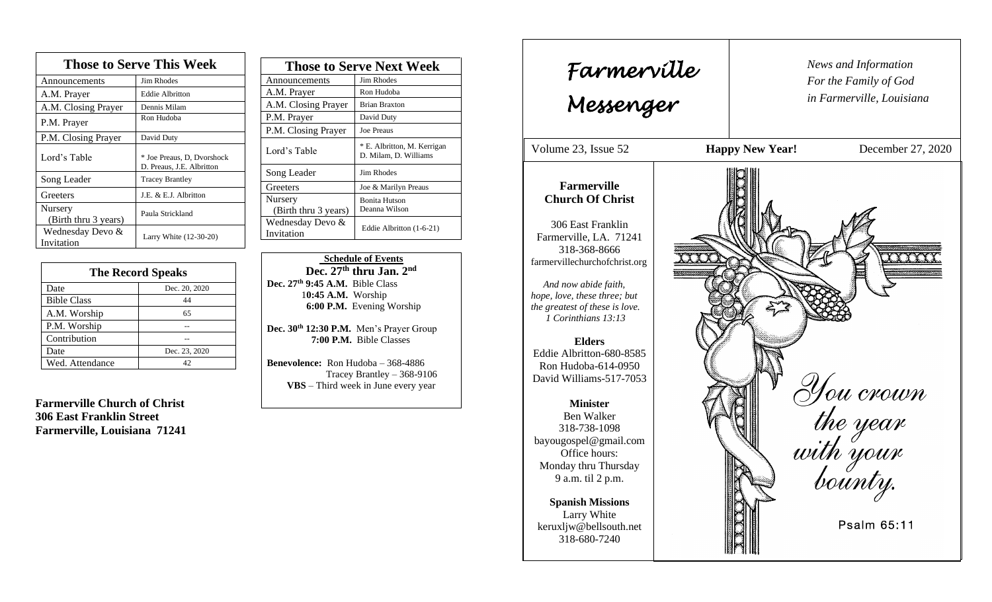| <b>Those to Serve This Week</b> |                                                         |  |
|---------------------------------|---------------------------------------------------------|--|
| Announcements                   | <b>Jim Rhodes</b>                                       |  |
| A.M. Prayer                     | <b>Eddie Albritton</b>                                  |  |
| A.M. Closing Prayer             | Dennis Milam                                            |  |
| P.M. Prayer                     | Ron Hudoba                                              |  |
| P.M. Closing Prayer             | David Duty                                              |  |
| Lord's Table                    | * Joe Preaus, D, Dvorshock<br>D. Preaus, J.E. Albritton |  |
| Song Leader                     | <b>Tracey Brantley</b>                                  |  |
| Greeters                        | J.E. & E.J. Albritton                                   |  |
| Nursery<br>(Birth thru 3 years) | Paula Strickland                                        |  |
| Wednesday Devo &<br>Invitation  | Larry White (12-30-20)                                  |  |

| <b>The Record Speaks</b> |               |  |
|--------------------------|---------------|--|
| Date                     | Dec. 20, 2020 |  |
| <b>Bible Class</b>       | 44            |  |
| A.M. Worship             | 65            |  |
| P.M. Worship             |               |  |
| Contribution             |               |  |
| Date                     | Dec. 23, 2020 |  |
| Wed. Attendance          | 42            |  |

**Farmerville Church of Christ 306 East Franklin Street Farmerville, Louisiana 71241**

| <b>Those to Serve Next Week</b> |                                                      |
|---------------------------------|------------------------------------------------------|
| Announcements                   | Jim Rhodes                                           |
| A.M. Prayer                     | Ron Hudoba                                           |
| A.M. Closing Prayer             | <b>Brian Braxton</b>                                 |
| P.M. Prayer                     | David Duty                                           |
| P.M. Closing Prayer             | <b>Joe Preaus</b>                                    |
| Lord's Table                    | * E. Albritton, M. Kerrigan<br>D. Milam, D. Williams |
| Song Leader                     | Jim Rhodes                                           |
| Greeters                        | Joe & Marilyn Preaus                                 |
| Nursery                         | <b>Bonita Hutson</b>                                 |
| (Birth thru 3 years)            | Deanna Wilson                                        |
| Wednesday Devo &<br>Invitation  | Eddie Albritton (1-6-21)                             |
|                                 |                                                      |

 **Schedule of Events Dec. 27 th thru Jan. 2nd Dec. 27 th 9:45 A.M.** Bible Class 1**0:45 A.M.** Worship  **6:00 P.M.** Evening Worship

**Dec. 30th 12:30 P.M.** Men's Prayer Group **7:00 P.M.** Bible Classes

**Benevolence:** Ron Hudoba – 368-4886 Tracey Brantley – 368-9106 **VBS** – Third week in June every year